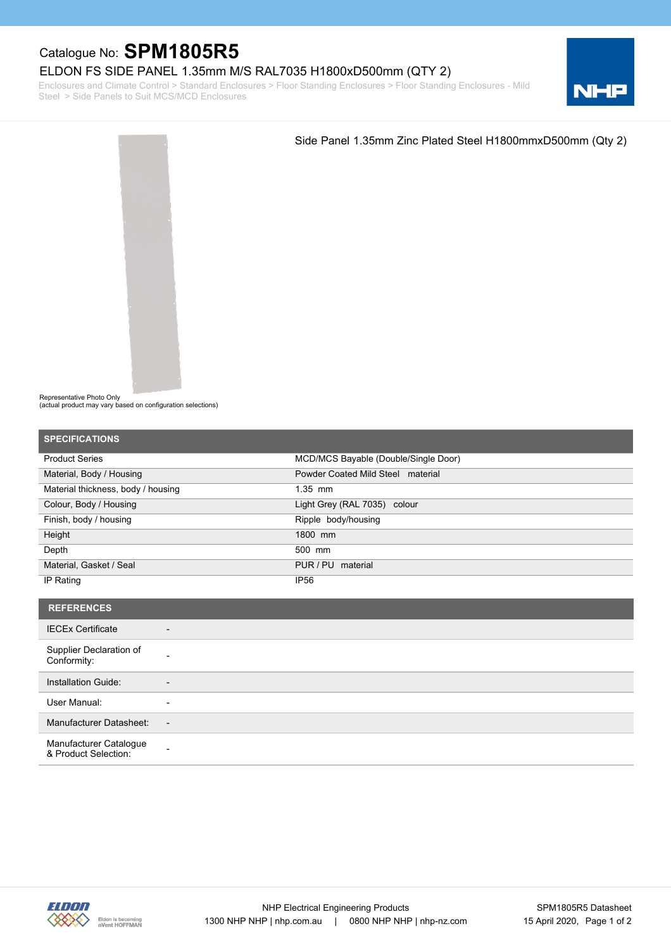## Catalogue No: **SPM1805R5**

## ELDON FS SIDE PANEL 1.35mm M/S RAL7035 H1800xD500mm (QTY 2)

Enclosures and Climate Control > Standard Enclosures > Floor Standing Enclosures > Floor Standing Enclosures - Mild Steel > Side Panels to Suit MCS/MCD Enclosures





Representative Photo Only

(actual product may vary based on configuration selections)

| <b>SPECIFICATIONS</b>                                |                                      |
|------------------------------------------------------|--------------------------------------|
| <b>Product Series</b>                                | MCD/MCS Bayable (Double/Single Door) |
| Material, Body / Housing                             | Powder Coated Mild Steel material    |
| Material thickness, body / housing                   | $1.35$ mm                            |
| Colour, Body / Housing                               | Light Grey (RAL 7035) colour         |
| Finish, body / housing                               | Ripple body/housing                  |
| Height                                               | 1800 mm                              |
| Depth                                                | 500 mm                               |
| Material, Gasket / Seal                              | PUR / PU material                    |
| IP Rating                                            | <b>IP56</b>                          |
| <b>REFERENCES</b>                                    |                                      |
|                                                      |                                      |
| <b>IECEx Certificate</b><br>$\overline{\phantom{a}}$ |                                      |
| Supplier Declaration of<br>Conformity:               |                                      |
| Installation Guide:<br>٠                             |                                      |
| User Manual:<br>$\overline{\phantom{a}}$             |                                      |
| Manufacturer Datasheet:<br>$\overline{\phantom{a}}$  |                                      |
| Manufacturer Catalogue<br>& Product Selection:       |                                      |